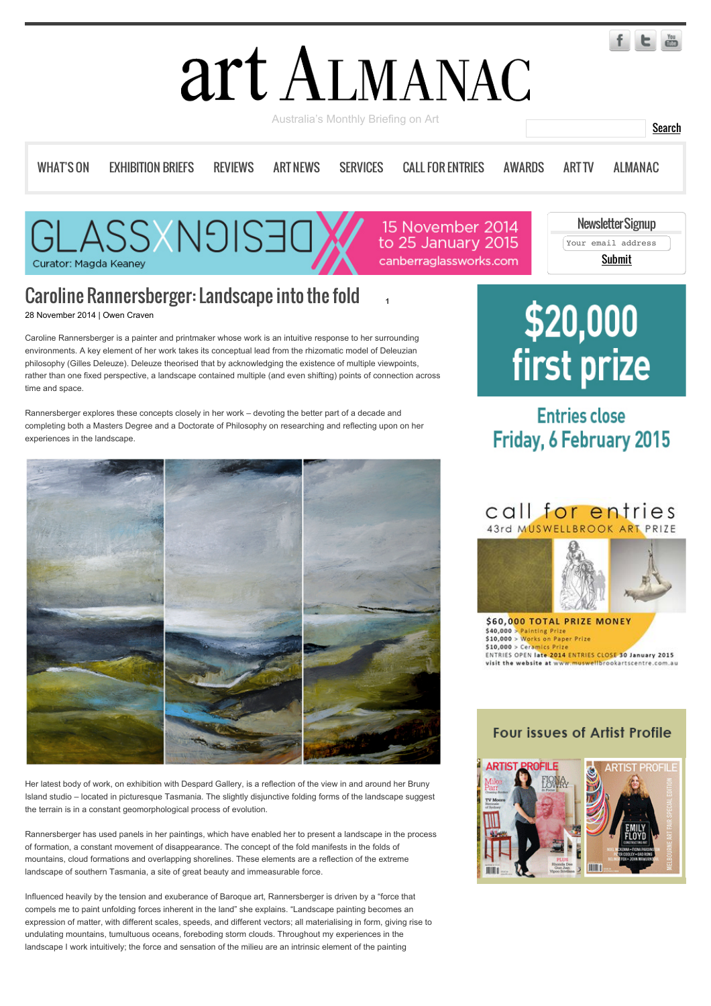# art ALMANAC

Australia's Monthly Briefing on Art **Search Australia** Search Search

[WHAT'S ON](http://www.art-almanac.com.au/2014/11/caroline-rannersberger-landscape-into-the-fold/#) FXHIBITION BRIFFS [REVIEWS](http://www.art-almanac.com.au/category/reviews/) [ART NEWS](http://www.art-almanac.com.au/category/news/) [SERVICES](http://www.art-almanac.com.au/services/) [CALL FOR ENTRIES](http://www.art-almanac.com.au/call-for-entries/) [AWARDS](http://www.art-almanac.com.au/awards/) [ART TV](http://www.art-almanac.com.au/art-tv/) [ALMANAC](http://www.art-almanac.com.au/2014/11/caroline-rannersberger-landscape-into-the-fold/#)

**[1](http://www.art-almanac.com.au/2014/11/caroline-rannersberger-landscape-into-the-fold/#)**

**ASSXN9IS3** Curator: Magda Keaney

15 November 2014 to 25 January 2015 canberraglassworks.com

Newsletter Signup Your email address Submit

## Caroline Rannersberger: Landscape into the fold

28 November 2014 | Owen Craven

Caroline Rannersberger is a painter and printmaker whose work is an intuitive response to her surrounding environments. A key element of her work takes its conceptual lead from the rhizomatic model of Deleuzian philosophy (Gilles Deleuze). Deleuze theorised that by acknowledging the existence of multiple viewpoints, rather than one fixed perspective, a landscape contained multiple (and even shifting) points of connection across time and space.

Rannersberger explores these concepts closely in her work – devoting the better part of a decade and completing both a Masters Degree and a Doctorate of Philosophy on researching and reflecting upon on her experiences in the landscape.



Her latest body of work, on exhibition with Despard Gallery, is a reflection of the view in and around her Bruny Island studio – located in picturesque Tasmania. The slightly disjunctive folding forms of the landscape suggest the terrain is in a constant geomorphological process of evolution.

Rannersberger has used panels in her paintings, which have enabled her to present a landscape in the process of formation, a constant movement of disappearance. The concept of the fold manifests in the folds of mountains, cloud formations and overlapping shorelines. These elements are a reflection of the extreme landscape of southern Tasmania, a site of great beauty and immeasurable force.

Influenced heavily by the tension and exuberance of Baroque art, Rannersberger is driven by a "force that compels me to paint unfolding forces inherent in the land" she explains. "Landscape painting becomes an expression of matter, with different scales, speeds, and different vectors; all materialising in form, giving rise to undulating mountains, tumultuous oceans, foreboding storm clouds. Throughout my experiences in the landscape I work intuitively; the force and sensation of the milieu are an intrinsic element of the painting

# \$20,000 first prize

### **Entries close Friday, 6 February 2015**

#### call for entries 43rd MUSWELLBROOK ART PRIZE



#### $$40,000 >$  Painting Prize<br> $$10,000 >$  Works on Paper Prize  $$10,000 > Cerninics Pr$ ENTRIES OPEN late 2014 ENTRIES CLOSE 30 January 2015 visit the website at ww ellbrookartscentre

#### **Four issues of Artist Profile**



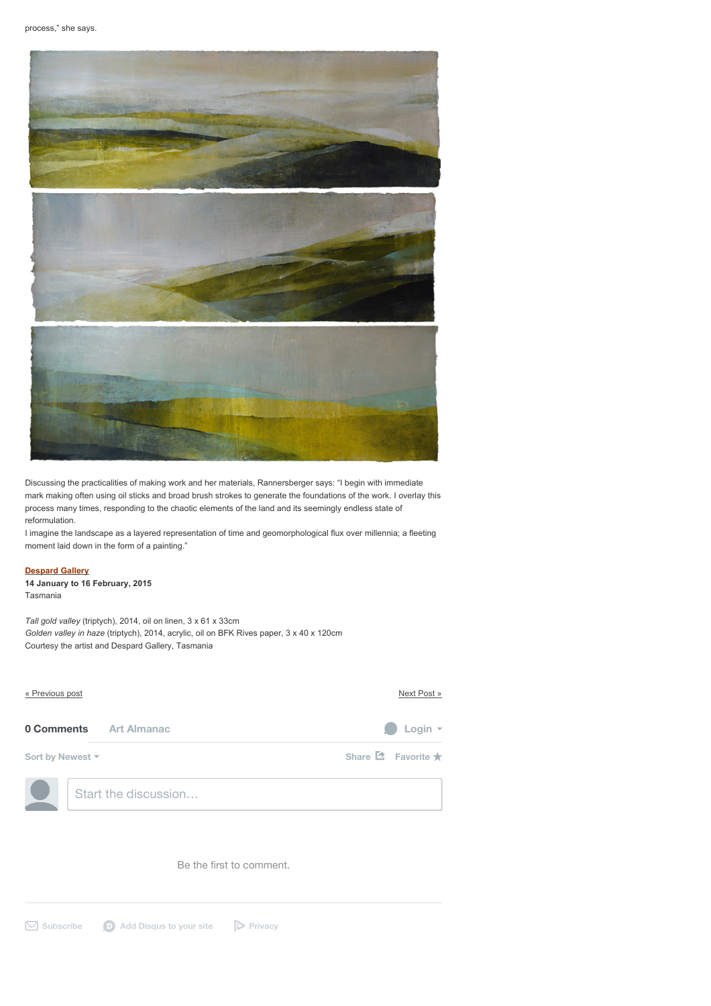

Discussing the practicalities of making work and her materials, Rannersberger says: "I begin with immediate mark making often using oil sticks and broad brush strokes to generate the foundations of the work. I overlay this process many times, responding to the chaotic elements of the land and its seemingly endless state of reformulation.

I imagine the landscape as a layered representation of time and geomorphological flux over millennia; a fleeting moment laid down in the form of a painting."

#### **[Despard Gallery](http://www.despard-gallery.com.au/)**

**14 January to 16 February, 2015** Tasmania

*Tall gold valley* (triptych), 2014, oil on linen, 3 x 61 x 33cm *Golden valley in haze* (triptych), 2014, acrylic, oil on BFK Rives paper, 3 x 40 x 120cm Courtesy the artist and Despard Gallery, Tasmania

| « Previous post               | Next Post »                                 |
|-------------------------------|---------------------------------------------|
| <b>0 Comments</b> Art Almanac | Login $\sim$                                |
| Sort by Newest ▼              | Share $\mathbf{\Delta}$ Favorite $\bigstar$ |
| Start the discussion          |                                             |

Be the first to comment.